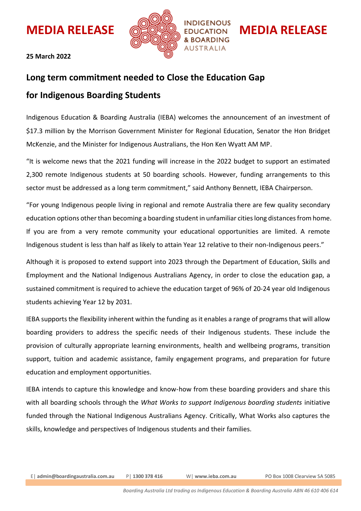

## **25 March 2022**

## **Long term commitment needed to Close the Education Gap**

## **for Indigenous Boarding Students**

Indigenous Education & Boarding Australia (IEBA) welcomes the announcement of an investment of \$17.3 million by the Morrison Government Minister for Regional Education, Senator the Hon Bridget McKenzie, and the Minister for Indigenous Australians, the Hon Ken Wyatt AM MP.

"It is welcome news that the 2021 funding will increase in the 2022 budget to support an estimated 2,300 remote Indigenous students at 50 boarding schools. However, funding arrangements to this sector must be addressed as a long term commitment," said Anthony Bennett, IEBA Chairperson.

"For young Indigenous people living in regional and remote Australia there are few quality secondary education options other than becoming a boarding student in unfamiliar cities long distances from home. If you are from a very remote community your educational opportunities are limited. A remote Indigenous student is less than half as likely to attain Year 12 relative to their non-Indigenous peers."

Although it is proposed to extend support into 2023 through the Department of Education, Skills and Employment and the National Indigenous Australians Agency, in order to close the education gap, a sustained commitment is required to achieve the education target of 96% of 20-24 year old Indigenous students achieving Year 12 by 2031.

IEBA supports the flexibility inherent within the funding as it enables a range of programs that will allow boarding providers to address the specific needs of their Indigenous students. These include the provision of culturally appropriate learning environments, health and wellbeing programs, transition support, tuition and academic assistance, family engagement programs, and preparation for future education and employment opportunities.

IEBA intends to capture this knowledge and know-how from these boarding providers and share this with all boarding schools through the *What Works to support Indigenous boarding students* initiative funded through the National Indigenous Australians Agency. Critically, What Works also captures the skills, knowledge and perspectives of Indigenous students and their families.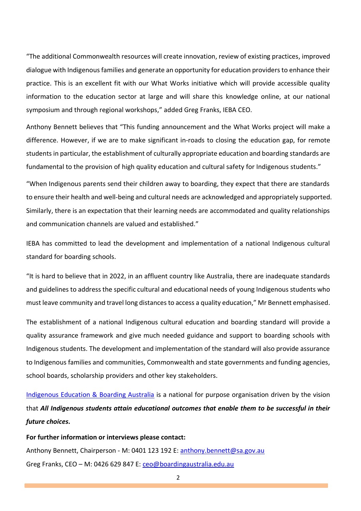"The additional Commonwealth resources will create innovation, review of existing practices, improved dialogue with Indigenous families and generate an opportunity for education providers to enhance their practice. This is an excellent fit with our What Works initiative which will provide accessible quality information to the education sector at large and will share this knowledge online, at our national symposium and through regional workshops," added Greg Franks, IEBA CEO.

Anthony Bennett believes that "This funding announcement and the What Works project will make a difference. However, if we are to make significant in-roads to closing the education gap, for remote students in particular, the establishment of culturally appropriate education and boarding standards are fundamental to the provision of high quality education and cultural safety for Indigenous students."

"When Indigenous parents send their children away to boarding, they expect that there are standards to ensure their health and well-being and cultural needs are acknowledged and appropriately supported. Similarly, there is an expectation that their learning needs are accommodated and quality relationships and communication channels are valued and established."

IEBA has committed to lead the development and implementation of a national Indigenous cultural standard for boarding schools.

"It is hard to believe that in 2022, in an affluent country like Australia, there are inadequate standards and guidelines to address the specific cultural and educational needs of young Indigenous students who must leave community and travel long distances to access a quality education," Mr Bennett emphasised.

The establishment of a national Indigenous cultural education and boarding standard will provide a quality assurance framework and give much needed guidance and support to boarding schools with Indigenous students. The development and implementation of the standard will also provide assurance to Indigenous families and communities, Commonwealth and state governments and funding agencies, school boards, scholarship providers and other key stakeholders.

[Indigenous Education & Boarding Australia](http://www.ieba.com.au/) is a national for purpose organisation driven by the vision that *All Indigenous students attain educational outcomes that enable them to be successful in their future choices.*

**For further information or interviews please contact:**

Anthony Bennett, Chairperson - M: 0401 123 192 E: [anthony.bennett@sa.gov.au](mailto:anthony.bennett@sa.gov.au) Greg Franks, CEO - M: 0426 629 847 E: [ceo@boardingaustralia.edu.au](mailto:ceo@boardingaustralia.edu.au)